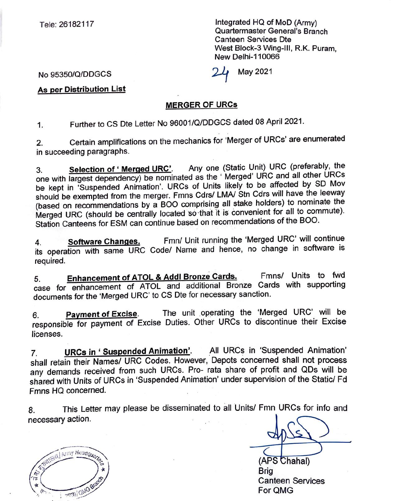Tele: 26182117

Integrated HQ of MoD (Army) Quartermaster General's Branch Canteen Services Dte West Block-3 Wing-Ill, R.K. Puram, New Delhi-110066

May 2021

No 95350/Q/DDGCS

**As per Distribution List** 

## **MERGER OF URCs**

1. Further to CS Dte Letter No 96001/Q/DDGCS dated 08 April 2021.

2. Certain amplifications on the mechanics for 'Merger of URCs' are enumerated in succeeding paragraphs.

3. **Selection of' Merged URC'.** Any one (Static Unit) URC (preferably, the one with largest dependency) be nominated as the ' Merged' URC and all other URCs be kept in 'Suspended Animation'. URCs of Units likely to be affected by SD Mov should be exempted from the merger. Fmns Cdrs/ LMA/ Stn Cdrs will have the leeway (based on recommendations by a BOO comprising all stake holders) to nominate the Merged URC (should be centrally located so that it is convenient for all to commute). Station Canteens for ESM can continue based on recommendations of the BOO.

4. **Software Changes.** Fmn/ Unit running the 'Merged URC' will continue its operation with same URC Code/ Name and hence, no change in software is required.

5. **Enhancement of ATOL** & **Addi Bronze Cards.** Fmns/ Units to fwd case for enhancement of ATOL and additional Bronze Cards with supporting documents for the 'Merged URC' to CS Dte for necessary sanction.

6. **Payment of Excise**. The unit operating the 'Merged URC' will be responsible for payment of Excise Duties. Other URCs to discontinue their Excise licenses.

7. **URCs in** ' **Suspended Animation'.** .All UR Cs in 'Suspended Animation' shall retain their Names/ URC Codes. However, Depots concerned shall not process any demands received from such URCs. Pro- rata share of profit and QDs will be shared with Units of URCs in 'Suspended Animation' under supervision of the Static/ Fd Fmns HQ concerned.

8. This Letter may please be disseminated to all Units/ Fmn URCs for info and necessary action.

(APS Chahal) Brig Canteen Services For QMG

Walted Army Headquartes €  $\hat{\pi}$ Ϊs FILLOWG Bra  $\triangle$